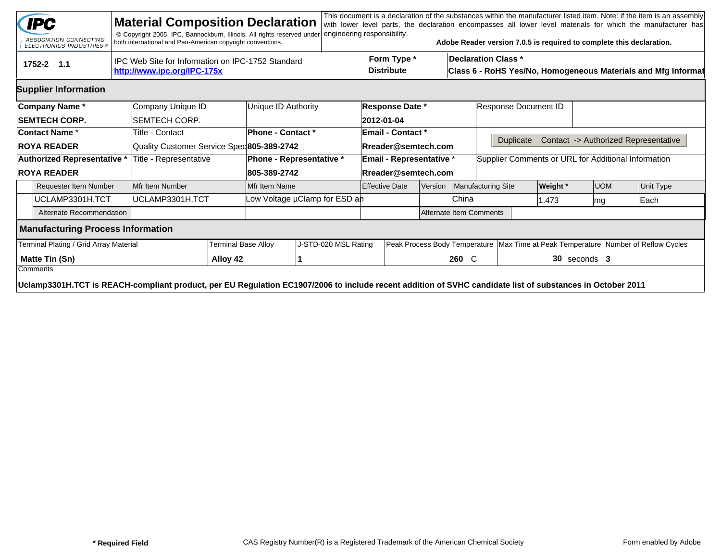|                             | <b>IPC</b><br>ASSOCIATION CONNECTING<br><b>ELECTRONICS INDUSTRIES®</b>                                                                                    |                                                                                  | <b>Material Composition Declaration</b><br>© Copyright 2005. IPC, Bannockburn, Illinois. All rights reserved under<br>both international and Pan-American copyright conventions. |                                  |                               | engineering responsibility.      |  |                                                                                             |                    |                                                     |                      | Adobe Reader version 7.0.5 is required to complete this declaration. |                                                                                        |                                      | This document is a declaration of the substances within the manufacturer listed item. Note: if the item is an assembly<br>with lower level parts, the declaration encompasses all lower level materials for which the manufacturer has |
|-----------------------------|-----------------------------------------------------------------------------------------------------------------------------------------------------------|----------------------------------------------------------------------------------|----------------------------------------------------------------------------------------------------------------------------------------------------------------------------------|----------------------------------|-------------------------------|----------------------------------|--|---------------------------------------------------------------------------------------------|--------------------|-----------------------------------------------------|----------------------|----------------------------------------------------------------------|----------------------------------------------------------------------------------------|--------------------------------------|----------------------------------------------------------------------------------------------------------------------------------------------------------------------------------------------------------------------------------------|
|                             | 1752-2 1.1                                                                                                                                                | IPC Web Site for Information on IPC-1752 Standard<br>http://www.ipc.org/IPC-175x |                                                                                                                                                                                  | Form Type *<br><b>Distribute</b> |                               |                                  |  | <b>Declaration Class *</b><br>Class 6 - RoHS Yes/No, Homogeneous Materials and Mfg Informat |                    |                                                     |                      |                                                                      |                                                                                        |                                      |                                                                                                                                                                                                                                        |
|                             | <b>Supplier Information</b>                                                                                                                               |                                                                                  |                                                                                                                                                                                  |                                  |                               |                                  |  |                                                                                             |                    |                                                     |                      |                                                                      |                                                                                        |                                      |                                                                                                                                                                                                                                        |
|                             | Company Name*                                                                                                                                             |                                                                                  | Company Unique ID                                                                                                                                                                |                                  | Unique ID Authority           |                                  |  | <b>Response Date *</b>                                                                      |                    |                                                     | Response Document ID |                                                                      |                                                                                        |                                      |                                                                                                                                                                                                                                        |
|                             | <b>SEMTECH CORP.</b>                                                                                                                                      |                                                                                  | ISEMTECH CORP.                                                                                                                                                                   |                                  |                               |                                  |  | 2012-01-04                                                                                  |                    |                                                     |                      |                                                                      |                                                                                        |                                      |                                                                                                                                                                                                                                        |
|                             | <b>Contact Name *</b>                                                                                                                                     |                                                                                  | Title - Contact                                                                                                                                                                  |                                  | <b>Phone - Contact *</b>      | <b>Email - Contact *</b>         |  |                                                                                             |                    |                                                     |                      |                                                                      |                                                                                        |                                      |                                                                                                                                                                                                                                        |
|                             | <b>ROYA READER</b>                                                                                                                                        |                                                                                  | Quality Customer Service Sped805-389-2742                                                                                                                                        |                                  |                               | Rreader@semtech.com              |  |                                                                                             |                    | <b>Duplicate</b>                                    |                      |                                                                      |                                                                                        | Contact -> Authorized Representative |                                                                                                                                                                                                                                        |
| Authorized Representative * |                                                                                                                                                           |                                                                                  | Title - Representative                                                                                                                                                           |                                  | Phone - Representative *      | Email - Representative *         |  |                                                                                             |                    | Supplier Comments or URL for Additional Information |                      |                                                                      |                                                                                        |                                      |                                                                                                                                                                                                                                        |
| <b>ROYA READER</b>          |                                                                                                                                                           |                                                                                  |                                                                                                                                                                                  |                                  | 805-389-2742                  | Rreader@semtech.com              |  |                                                                                             |                    |                                                     |                      |                                                                      |                                                                                        |                                      |                                                                                                                                                                                                                                        |
|                             | <b>Requester Item Number</b>                                                                                                                              |                                                                                  | Mfr Item Number                                                                                                                                                                  |                                  | Mfr Item Name                 | <b>Effective Date</b><br>Version |  |                                                                                             | Manufacturing Site |                                                     | Weight *             | <b>UOM</b>                                                           |                                                                                        | Unit Type                            |                                                                                                                                                                                                                                        |
|                             | UCLAMP3301H.TCT                                                                                                                                           |                                                                                  | UCLAMP3301H.TCT                                                                                                                                                                  |                                  | Low Voltage µClamp for ESD ah |                                  |  |                                                                                             |                    | China                                               |                      | 1.473                                                                | mg                                                                                     |                                      | Each                                                                                                                                                                                                                                   |
|                             | Alternate Recommendation                                                                                                                                  |                                                                                  |                                                                                                                                                                                  |                                  |                               | Alternate Item Comments          |  |                                                                                             |                    |                                                     |                      |                                                                      |                                                                                        |                                      |                                                                                                                                                                                                                                        |
|                             | <b>Manufacturing Process Information</b>                                                                                                                  |                                                                                  |                                                                                                                                                                                  |                                  |                               |                                  |  |                                                                                             |                    |                                                     |                      |                                                                      |                                                                                        |                                      |                                                                                                                                                                                                                                        |
|                             | Terminal Plating / Grid Array Material                                                                                                                    |                                                                                  |                                                                                                                                                                                  | Terminal Base Alloy              |                               | J-STD-020 MSL Rating             |  |                                                                                             |                    |                                                     |                      |                                                                      | Peak Process Body Temperature   Max Time at Peak Temperature   Number of Reflow Cycles |                                      |                                                                                                                                                                                                                                        |
| Matte Tin (Sn)<br>Comments  |                                                                                                                                                           |                                                                                  |                                                                                                                                                                                  | Alloy 42                         |                               |                                  |  |                                                                                             |                    | 260 C                                               | $30$ seconds   3     |                                                                      |                                                                                        |                                      |                                                                                                                                                                                                                                        |
|                             | Uclamp3301H.TCT is REACH-compliant product, per EU Regulation EC1907/2006 to include recent addition of SVHC candidate list of substances in October 2011 |                                                                                  |                                                                                                                                                                                  |                                  |                               |                                  |  |                                                                                             |                    |                                                     |                      |                                                                      |                                                                                        |                                      |                                                                                                                                                                                                                                        |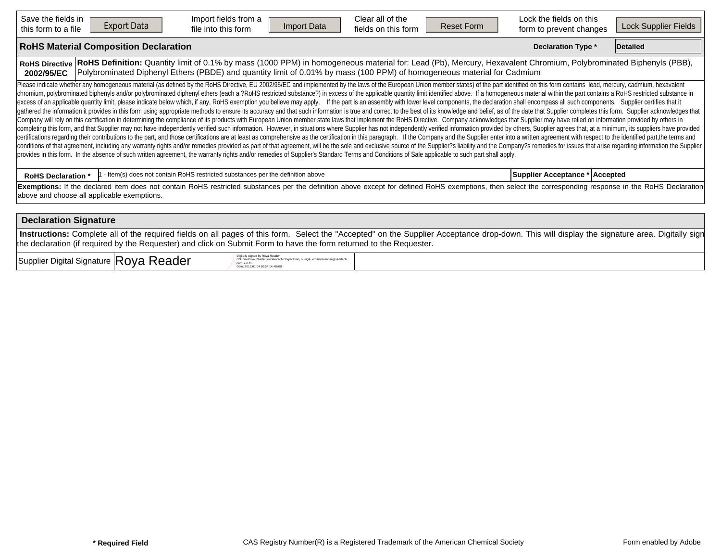| Save the fields in<br>this form to a file                                                                                                                                                                                                                                                                                                                                                                                                                                                                                                                                                                                                                                                                                                                                                                                                                                                                                                                                                                                                                                                                                                                                                                                                                                                                                                                                                                                                                                                                                                                                                                                                                                                                                                                                                                                                                                                                                                                                                                                                                                   | <b>Export Data</b>                           | Import fields from a<br>file into this form                                    | <b>Import Data</b> | Clear all of the<br>fields on this form | <b>Reset Form</b> | Lock the fields on this<br>form to prevent changes | Lock Supplier Fields |  |  |  |  |  |
|-----------------------------------------------------------------------------------------------------------------------------------------------------------------------------------------------------------------------------------------------------------------------------------------------------------------------------------------------------------------------------------------------------------------------------------------------------------------------------------------------------------------------------------------------------------------------------------------------------------------------------------------------------------------------------------------------------------------------------------------------------------------------------------------------------------------------------------------------------------------------------------------------------------------------------------------------------------------------------------------------------------------------------------------------------------------------------------------------------------------------------------------------------------------------------------------------------------------------------------------------------------------------------------------------------------------------------------------------------------------------------------------------------------------------------------------------------------------------------------------------------------------------------------------------------------------------------------------------------------------------------------------------------------------------------------------------------------------------------------------------------------------------------------------------------------------------------------------------------------------------------------------------------------------------------------------------------------------------------------------------------------------------------------------------------------------------------|----------------------------------------------|--------------------------------------------------------------------------------|--------------------|-----------------------------------------|-------------------|----------------------------------------------------|----------------------|--|--|--|--|--|
|                                                                                                                                                                                                                                                                                                                                                                                                                                                                                                                                                                                                                                                                                                                                                                                                                                                                                                                                                                                                                                                                                                                                                                                                                                                                                                                                                                                                                                                                                                                                                                                                                                                                                                                                                                                                                                                                                                                                                                                                                                                                             | <b>RoHS Material Composition Declaration</b> | <b>Declaration Type *</b>                                                      | Detailed           |                                         |                   |                                                    |                      |  |  |  |  |  |
| RoHS Definition: Quantity limit of 0.1% by mass (1000 PPM) in homogeneous material for: Lead (Pb), Mercury, Hexavalent Chromium, Polybrominated Biphenyls (PBB),<br><b>RoHS Directive</b><br>Polybrominated Diphenyl Ethers (PBDE) and quantity limit of 0.01% by mass (100 PPM) of homogeneous material for Cadmium<br>2002/95/EC                                                                                                                                                                                                                                                                                                                                                                                                                                                                                                                                                                                                                                                                                                                                                                                                                                                                                                                                                                                                                                                                                                                                                                                                                                                                                                                                                                                                                                                                                                                                                                                                                                                                                                                                          |                                              |                                                                                |                    |                                         |                   |                                                    |                      |  |  |  |  |  |
| Please indicate whether any homogeneous material (as defined by the RoHS Directive, EU 2002/95/EC and implemented by the laws of the European Union member states) of the part identified on this form contains lead, mercury,<br>chromium, polybrominated biphenyls and/or polybrominated diphenyl ethers (each a ?RoHS restricted substance?) in excess of the applicable quantity limit identified above. If a homogeneous material within the part contains<br>excess of an applicable quantity limit, please indicate below which, if any, RoHS exemption you believe may apply. If the part is an assembly with lower level components, the declaration shall encompass all such components<br>gathered the information it provides in this form using appropriate methods to ensure its accuracy and that such information is true and correct to the best of its knowledge and belief, as of the date that Supplier complet<br>Company will rely on this certification in determining the compliance of its products with European Union member state laws that implement the RoHS Directive. Company acknowledges that Supplier may have relied on informati<br>completing this form, and that Supplier may not have independently verified such information. However, in situations where Supplier has not independently verified information provided by others, Supplier agrees that, at a<br>certifications regarding their contributions to the part, and those certifications are at least as comprehensive as the certification in this paragraph. If the Company and the Supplier enter into a written agreement with r<br>conditions of that agreement, including any warranty rights and/or remedies provided as part of that agreement, will be the sole and exclusive source of the Supplier?s liability and the Company?s remedies for issues that a<br>provides in this form. In the absence of such written agreement, the warranty rights and/or remedies of Supplier's Standard Terms and Conditions of Sale applicable to such part shall apply. |                                              |                                                                                |                    |                                         |                   |                                                    |                      |  |  |  |  |  |
| <b>RoHS Declaration *</b>                                                                                                                                                                                                                                                                                                                                                                                                                                                                                                                                                                                                                                                                                                                                                                                                                                                                                                                                                                                                                                                                                                                                                                                                                                                                                                                                                                                                                                                                                                                                                                                                                                                                                                                                                                                                                                                                                                                                                                                                                                                   |                                              | - Item(s) does not contain RoHS restricted substances per the definition above |                    |                                         |                   | Supplier Acceptance *   Accepted                   |                      |  |  |  |  |  |
| Exemptions: If the declared item does not contain RoHS restricted substances per the definition above except for defined RoHS exemptions, then select the corresponding response in the RoHS Declaration<br>above and choose all applicable exemptions.                                                                                                                                                                                                                                                                                                                                                                                                                                                                                                                                                                                                                                                                                                                                                                                                                                                                                                                                                                                                                                                                                                                                                                                                                                                                                                                                                                                                                                                                                                                                                                                                                                                                                                                                                                                                                     |                                              |                                                                                |                    |                                         |                   |                                                    |                      |  |  |  |  |  |
| <b>Declaration Signature</b>                                                                                                                                                                                                                                                                                                                                                                                                                                                                                                                                                                                                                                                                                                                                                                                                                                                                                                                                                                                                                                                                                                                                                                                                                                                                                                                                                                                                                                                                                                                                                                                                                                                                                                                                                                                                                                                                                                                                                                                                                                                |                                              |                                                                                |                    |                                         |                   |                                                    |                      |  |  |  |  |  |
| Instructions: Complete all of the required fields on all pages of this form. Select the "Accepted" on the Supplier Acceptance drop-down. This will display the signature area. Digitally sign<br>the declaration (if required by the Requester) and click on Submit Form to have the form returned to the Requester.                                                                                                                                                                                                                                                                                                                                                                                                                                                                                                                                                                                                                                                                                                                                                                                                                                                                                                                                                                                                                                                                                                                                                                                                                                                                                                                                                                                                                                                                                                                                                                                                                                                                                                                                                        |                                              |                                                                                |                    |                                         |                   |                                                    |                      |  |  |  |  |  |

 $\sup_{\text{Supplier}}$  Digital Signature  $|\text{Roya Reader}|\$ 

DN: cn=Roya Reader, o≔Semtech Corporation, ou=QA, email=Rreader@semtech.<br>com, c=US<br>Date: 2012.01.04 10:54:14 -08'00'